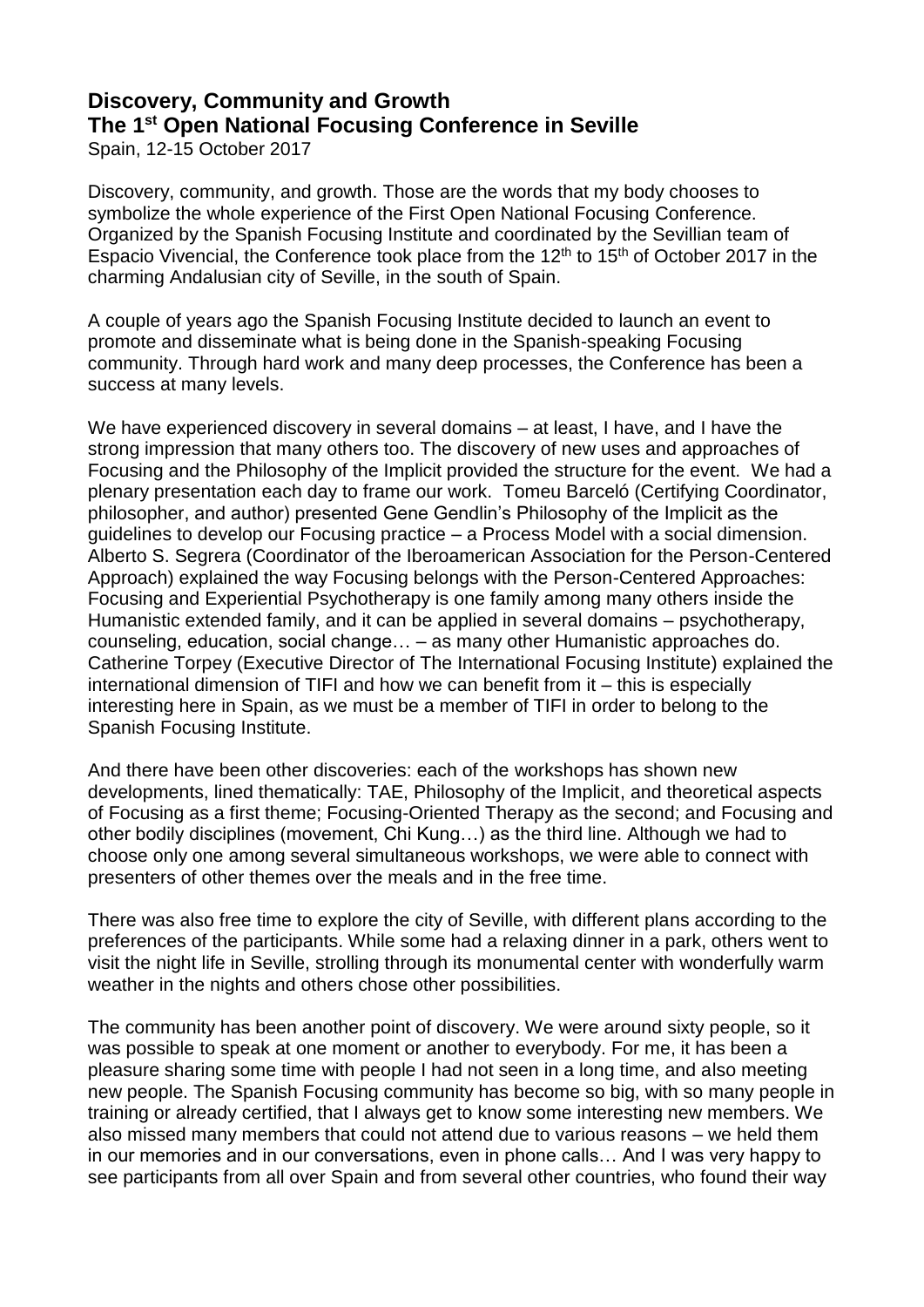## **Discovery, Community and Growth The 1st Open National Focusing Conference in Seville**

Spain, 12-15 October 2017

Discovery, community, and growth. Those are the words that my body chooses to symbolize the whole experience of the First Open National Focusing Conference. Organized by the Spanish Focusing Institute and coordinated by the Sevillian team of Espacio Vivencial, the Conference took place from the  $12<sup>th</sup>$  to  $15<sup>th</sup>$  of October 2017 in the charming Andalusian city of Seville, in the south of Spain.

A couple of years ago the Spanish Focusing Institute decided to launch an event to promote and disseminate what is being done in the Spanish-speaking Focusing community. Through hard work and many deep processes, the Conference has been a success at many levels.

We have experienced discovery in several domains – at least, I have, and I have the strong impression that many others too. The discovery of new uses and approaches of Focusing and the Philosophy of the Implicit provided the structure for the event. We had a plenary presentation each day to frame our work. Tomeu Barceló (Certifying Coordinator, philosopher, and author) presented Gene Gendlin's Philosophy of the Implicit as the guidelines to develop our Focusing practice – a Process Model with a social dimension. Alberto S. Segrera (Coordinator of the Iberoamerican Association for the Person-Centered Approach) explained the way Focusing belongs with the Person-Centered Approaches: Focusing and Experiential Psychotherapy is one family among many others inside the Humanistic extended family, and it can be applied in several domains – psychotherapy, counseling, education, social change… – as many other Humanistic approaches do. Catherine Torpey (Executive Director of The International Focusing Institute) explained the international dimension of TIFI and how we can benefit from it – this is especially interesting here in Spain, as we must be a member of TIFI in order to belong to the Spanish Focusing Institute.

And there have been other discoveries: each of the workshops has shown new developments, lined thematically: TAE, Philosophy of the Implicit, and theoretical aspects of Focusing as a first theme; Focusing-Oriented Therapy as the second; and Focusing and other bodily disciplines (movement, Chi Kung…) as the third line. Although we had to choose only one among several simultaneous workshops, we were able to connect with presenters of other themes over the meals and in the free time.

There was also free time to explore the city of Seville, with different plans according to the preferences of the participants. While some had a relaxing dinner in a park, others went to visit the night life in Seville, strolling through its monumental center with wonderfully warm weather in the nights and others chose other possibilities.

The community has been another point of discovery. We were around sixty people, so it was possible to speak at one moment or another to everybody. For me, it has been a pleasure sharing some time with people I had not seen in a long time, and also meeting new people. The Spanish Focusing community has become so big, with so many people in training or already certified, that I always get to know some interesting new members. We also missed many members that could not attend due to various reasons – we held them in our memories and in our conversations, even in phone calls… And I was very happy to see participants from all over Spain and from several other countries, who found their way